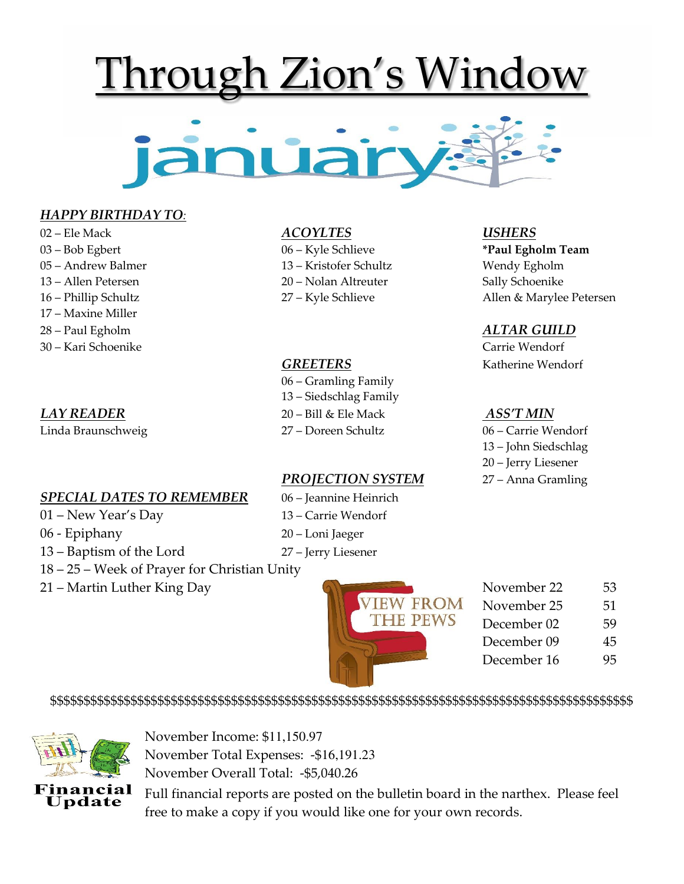# Through Zion's Window



### *HAPPY BIRTHDAY TO:*

- 02 Ele Mack *ACOYLTES USHERS*
- 
- 05 Andrew Balmer 13 Kristofer Schultz Wendy Egholm
- 13 Allen Petersen 20 Nolan Altreuter Sally Schoenike
- 
- 17 Maxine Miller
- 28 Paul Egholm *ALTAR GUILD*
- 30 Kari Schoenike Carrie Wendorf

### *SPECIAL DATES TO REMEMBER* 06 – Jeannine Heinrich

- 01 New Year's Day 13 Carrie Wendorf
- 06 Epiphany 20 Loni Jaeger
- 13 Baptism of the Lord 27 Jerry Liesener
- 18 25 Week of Prayer for Christian Unity
- 21 Martin Luther King Day 53

- 
- 
- 
- 

 06 – Gramling Family 13 – Siedschlag Family *LAY READER* 20 – Bill & Ele Mack *ASS'T MIN* Linda Braunschweig 27 – Doreen Schultz 06 – Carrie Wendorf

### *PROJECTION SYSTEM* 27 – Anna Gramling

- 
- 
- 
- 

03 – Bob Egbert 06 – Kyle Schlieve **\*Paul Egholm Team** 16 – Phillip Schultz 27 – Kyle Schlieve Allen & Marylee Petersen

**GREETERS** Katherine Wendorf

 13 – John Siedschlag 20 – Jerry Liesener



- THE PEWS November 25 51<br>THE PEWS December 02 59
	-

\$\$\$\$\$\$\$\$\$\$\$\$\$\$\$\$\$\$\$\$\$\$\$\$\$\$\$\$\$\$\$\$\$\$\$\$\$\$\$\$\$\$\$\$\$\$\$\$\$\$\$\$\$\$\$\$\$\$\$\$\$\$\$\$\$\$\$\$\$\$\$\$\$\$\$\$\$\$\$\$\$\$\$\$\$\$\$



November Income: \$11,150.97 November Total Expenses: -\$16,191.23 November Overall Total: -\$5,040.26

Full financial reports are posted on the bulletin board in the narthex. Please feel free to make a copy if you would like one for your own records.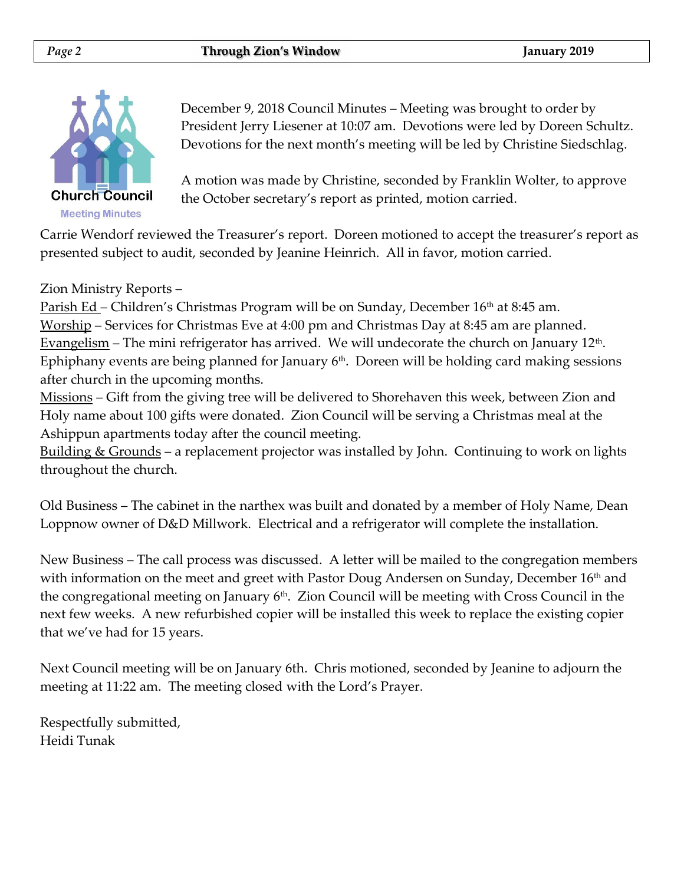

December 9, 2018 Council Minutes – Meeting was brought to order by President Jerry Liesener at 10:07 am. Devotions were led by Doreen Schultz. Devotions for the next month's meeting will be led by Christine Siedschlag.

A motion was made by Christine, seconded by Franklin Wolter, to approve the October secretary's report as printed, motion carried.

Carrie Wendorf reviewed the Treasurer's report. Doreen motioned to accept the treasurer's report as presented subject to audit, seconded by Jeanine Heinrich. All in favor, motion carried.

### Zion Ministry Reports –

<u>Parish Ed</u> – Children's Christmas Program will be on Sunday, December  $16<sup>th</sup>$  at 8:45 am. Worship – Services for Christmas Eve at 4:00 pm and Christmas Day at 8:45 am are planned. Evangelism – The mini refrigerator has arrived. We will undecorate the church on January  $12<sup>th</sup>$ . Ephiphany events are being planned for January  $6<sup>th</sup>$ . Doreen will be holding card making sessions after church in the upcoming months.

Missions – Gift from the giving tree will be delivered to Shorehaven this week, between Zion and Holy name about 100 gifts were donated. Zion Council will be serving a Christmas meal at the Ashippun apartments today after the council meeting.

<u>Building & Grounds</u> – a replacement projector was installed by John. Continuing to work on lights throughout the church.

Old Business – The cabinet in the narthex was built and donated by a member of Holy Name, Dean Loppnow owner of D&D Millwork. Electrical and a refrigerator will complete the installation.

New Business – The call process was discussed. A letter will be mailed to the congregation members with information on the meet and greet with Pastor Doug Andersen on Sunday, December 16<sup>th</sup> and the congregational meeting on January  $6<sup>th</sup>$ . Zion Council will be meeting with Cross Council in the next few weeks. A new refurbished copier will be installed this week to replace the existing copier that we've had for 15 years.

Next Council meeting will be on January 6th. Chris motioned, seconded by Jeanine to adjourn the meeting at 11:22 am. The meeting closed with the Lord's Prayer.

Respectfully submitted, Heidi Tunak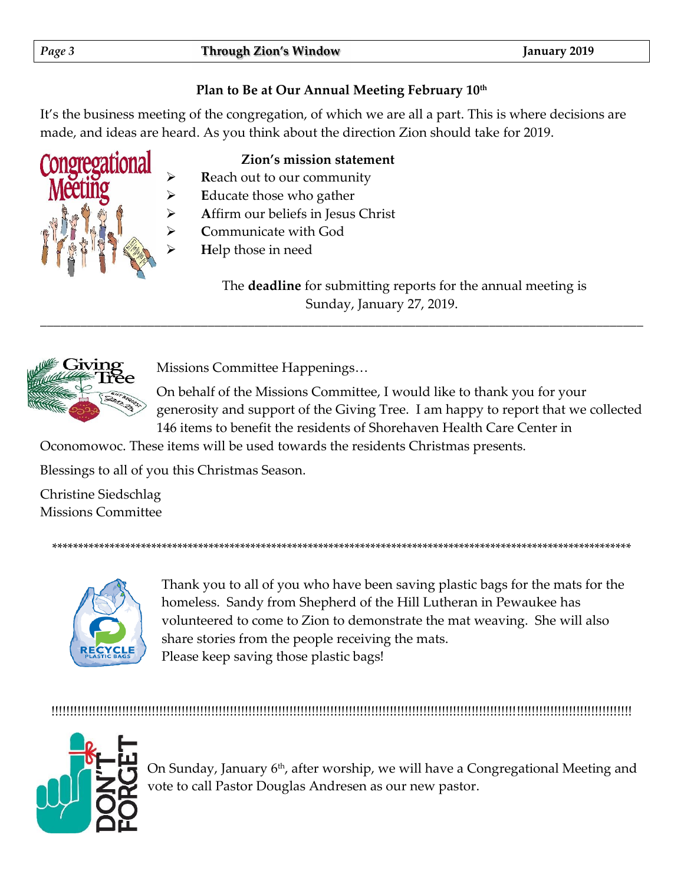# Plan to Be at Our Annual Meeting February 10th

It's the business meeting of the congregation, of which we are all a part. This is where decisions are made, and ideas are heard. As you think about the direction Zion should take for 2019.

# Zion's mission statement

- Reach out to our community
- Educate those who gather
- Affirm our beliefs in Jesus Christ
- Communicate with God
	- Help those in need

The **deadline** for submitting reports for the annual meeting is Sunday, January 27, 2019.



Missions Committee Happenings...

On behalf of the Missions Committee, I would like to thank you for your generosity and support of the Giving Tree. I am happy to report that we collected 146 items to benefit the residents of Shorehaven Health Care Center in

Oconomowoc. These items will be used towards the residents Christmas presents.

Blessings to all of you this Christmas Season.

Christine Siedschlag **Missions Committee** 



Thank you to all of you who have been saving plastic bags for the mats for the homeless. Sandy from Shepherd of the Hill Lutheran in Pewaukee has volunteered to come to Zion to demonstrate the mat weaving. She will also share stories from the people receiving the mats. Please keep saving those plastic bags!



On Sunday, January 6<sup>th</sup>, after worship, we will have a Congregational Meeting and vote to call Pastor Douglas Andresen as our new pastor.

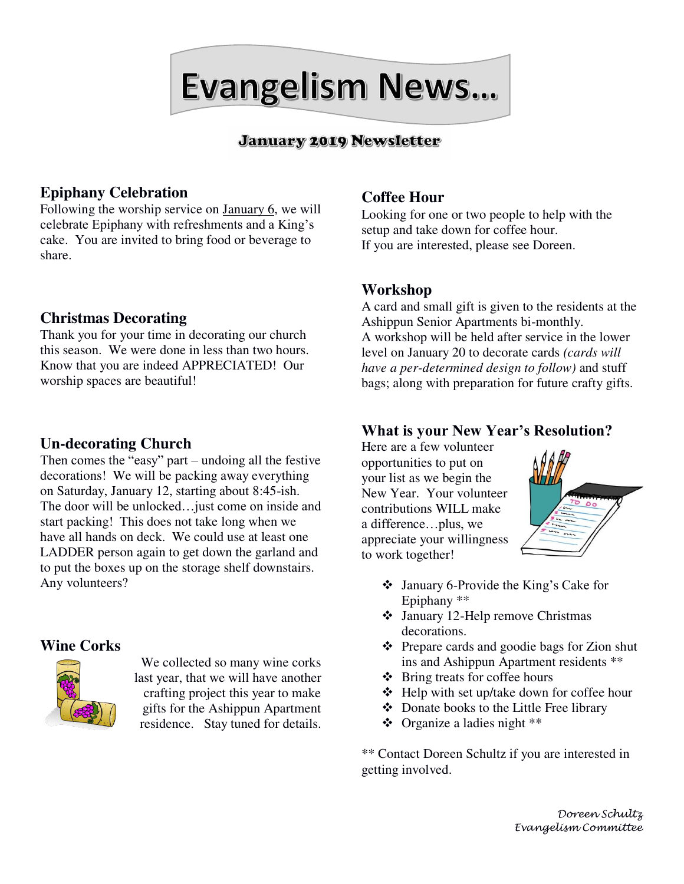Evangelism News...

# **January 2019 Newsletter**

# **Epiphany Celebration**

Following the worship service on January 6, we will celebrate Epiphany with refreshments and a King's cake. You are invited to bring food or beverage to share.

### **Christmas Decorating**

Thank you for your time in decorating our church this season. We were done in less than two hours. Know that you are indeed APPRECIATED! Our worship spaces are beautiful!

### **Un-decorating Church**

Then comes the  $\frac{d}{dx}$  reasy" part – undoing all the festive decorations! We will be packing away everything on Saturday, January 12, starting about 8:45-ish. The door will be unlocked…just come on inside and start packing! This does not take long when we have all hands on deck. We could use at least one LADDER person again to get down the garland and to put the boxes up on the storage shelf downstairs. Any volunteers?

### **Wine Corks**



We collected so many wine corks last year, that we will have another crafting project this year to make gifts for the Ashippun Apartment residence. Stay tuned for details.

# **Coffee Hour**

Looking for one or two people to help with the setup and take down for coffee hour. If you are interested, please see Doreen.

### **Workshop**

A card and small gift is given to the residents at the Ashippun Senior Apartments bi-monthly. A workshop will be held after service in the lower level on January 20 to decorate cards *(cards will have a per-determined design to follow)* and stuff bags; along with preparation for future crafty gifts.

# **What is your New Year's Resolution?**

Here are a few volunteer opportunities to put on your list as we begin the New Year. Your volunteer contributions WILL make a difference…plus, we appreciate your willingness to work together!



- ❖ January 6-Provide the King's Cake for Epiphany \*\*
- ❖ January 12-Help remove Christmas decorations.
- ❖ Prepare cards and goodie bags for Zion shut ins and Ashippun Apartment residents \*\*
- ❖ Bring treats for coffee hours
- ❖ Help with set up/take down for coffee hour
- ❖ Donate books to the Little Free library
- ❖ Organize a ladies night \*\*

\*\* Contact Doreen Schultz if you are interested in getting involved.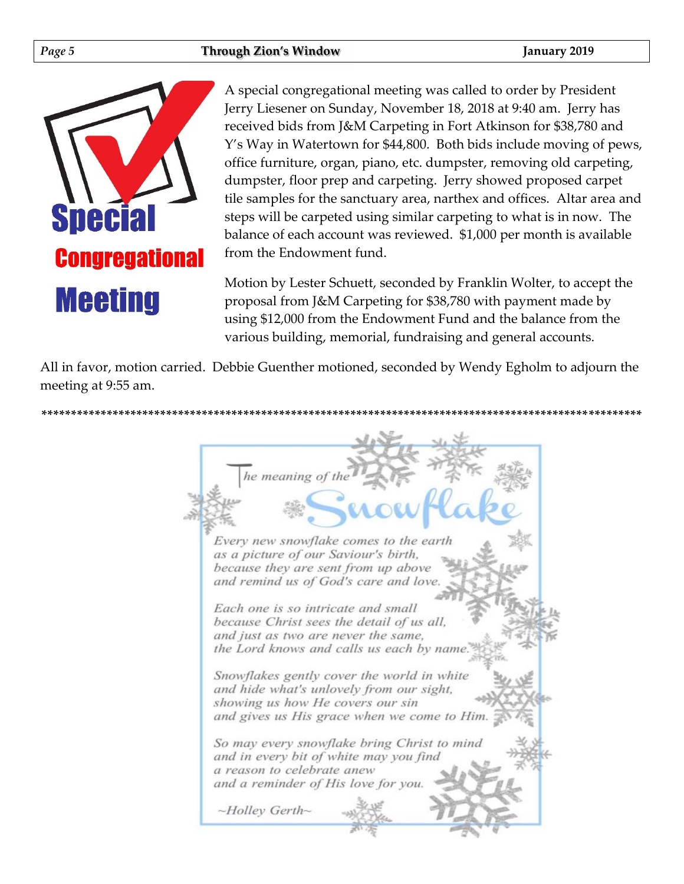

A special congregational meeting was called to order by President Jerry Liesener on Sunday, November 18, 2018 at 9:40 am. Jerry has received bids from J&M Carpeting in Fort Atkinson for \$38,780 and Y's Way in Watertown for \$44,800. Both bids include moving of pews, office furniture, organ, piano, etc. dumpster, removing old carpeting, dumpster, floor prep and carpeting. Jerry showed proposed carpet tile samples for the sanctuary area, narthex and offices. Altar area and steps will be carpeted using similar carpeting to what is in now. The balance of each account was reviewed. \$1,000 per month is available from the Endowment fund.

Motion by Lester Schuett, seconded by Franklin Wolter, to accept the proposal from J&M Carpeting for \$38,780 with payment made by using \$12,000 from the Endowment Fund and the balance from the various building, memorial, fundraising and general accounts.

All in favor, motion carried. Debbie Guenther motioned, seconded by Wendy Egholm to adjourn the meeting at 9:55 am.